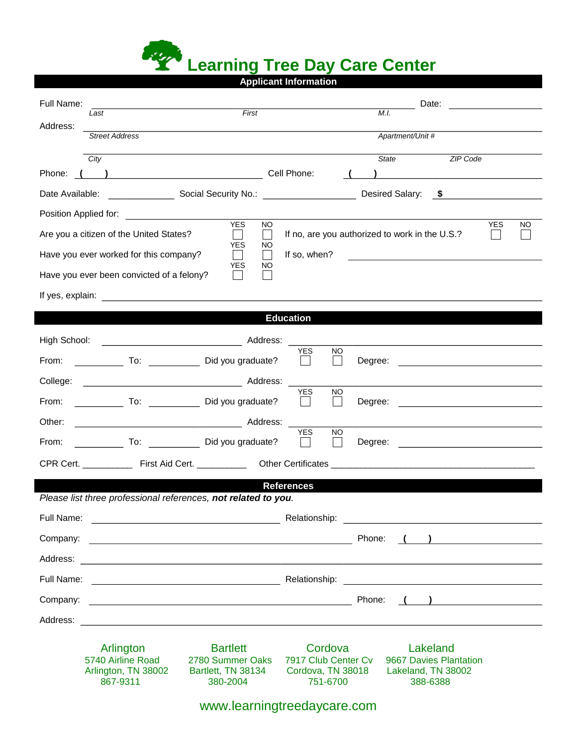

**Applicant Information**

| Full Name:                                                                                                                                    |                                                                   |                                                                                                                       |                                                                 | Date:<br><u> 1980 - Andrea Station Books, amerikansk politik (d. 1980)</u>                                           |  |  |
|-----------------------------------------------------------------------------------------------------------------------------------------------|-------------------------------------------------------------------|-----------------------------------------------------------------------------------------------------------------------|-----------------------------------------------------------------|----------------------------------------------------------------------------------------------------------------------|--|--|
| Address:                                                                                                                                      | Last                                                              | First                                                                                                                 |                                                                 | M.I.                                                                                                                 |  |  |
|                                                                                                                                               | <b>Street Address</b>                                             |                                                                                                                       |                                                                 | Apartment/Unit #                                                                                                     |  |  |
|                                                                                                                                               | City                                                              |                                                                                                                       |                                                                 | State<br>ZIP Code                                                                                                    |  |  |
|                                                                                                                                               | Phone: ( ) Cell Phone:                                            |                                                                                                                       |                                                                 | ) and the contract of the contract of $\mathcal{L}$                                                                  |  |  |
|                                                                                                                                               |                                                                   |                                                                                                                       |                                                                 |                                                                                                                      |  |  |
| Position Applied for:<br><u> 1989 - Jan Barnett, fransk politik (</u><br><b>YES</b><br><b>YES</b><br>NO.<br>NO.                               |                                                                   |                                                                                                                       |                                                                 |                                                                                                                      |  |  |
| Are you a citizen of the United States?<br>If no, are you authorized to work in the U.S.?<br>$\Box$<br>$\vert \ \ \vert$<br><b>YES</b><br>NO. |                                                                   |                                                                                                                       |                                                                 |                                                                                                                      |  |  |
|                                                                                                                                               | Have you ever worked for this company?                            | $\Box$<br>$\vert \hspace{.06cm} \vert$<br>YES.<br>NO                                                                  | If so, when?                                                    | <u> 1989 - Andrea Station Barbara, amerikan per</u>                                                                  |  |  |
|                                                                                                                                               | Have you ever been convicted of a felony?                         |                                                                                                                       |                                                                 |                                                                                                                      |  |  |
|                                                                                                                                               | If yes, explain: <u>contract and a series of yes</u>              |                                                                                                                       |                                                                 |                                                                                                                      |  |  |
|                                                                                                                                               |                                                                   |                                                                                                                       | <b>Education</b>                                                |                                                                                                                      |  |  |
|                                                                                                                                               |                                                                   |                                                                                                                       |                                                                 |                                                                                                                      |  |  |
| From:                                                                                                                                         | Did you graduate?                                                 |                                                                                                                       | <b>YES</b><br>NO.<br>$\Box$                                     | Degree:<br>the control of the control of the control of the control of the control of                                |  |  |
| College:                                                                                                                                      |                                                                   |                                                                                                                       |                                                                 |                                                                                                                      |  |  |
| From:                                                                                                                                         | Did you graduate?                                                 |                                                                                                                       | YES<br>NO.                                                      | Degree:<br>the control of the control of the control of the control of the control of                                |  |  |
| Other:                                                                                                                                        |                                                                   |                                                                                                                       |                                                                 |                                                                                                                      |  |  |
| From:                                                                                                                                         | To: Did you graduate?                                             |                                                                                                                       | <b>YES</b><br><b>NO</b><br>$\Box$                               | Degree: <u>_______________________</u>                                                                               |  |  |
|                                                                                                                                               |                                                                   |                                                                                                                       |                                                                 | CPR Cert. First Aid Cert. Other Certificates                                                                         |  |  |
| <b>References</b>                                                                                                                             |                                                                   |                                                                                                                       |                                                                 |                                                                                                                      |  |  |
|                                                                                                                                               | Please list three professional references, not related to you.    |                                                                                                                       |                                                                 |                                                                                                                      |  |  |
| Full Name:                                                                                                                                    |                                                                   |                                                                                                                       | Relationship:                                                   |                                                                                                                      |  |  |
| Company:                                                                                                                                      |                                                                   | <u> 1989 - Johann Barn, mars ann an t-Amhair an t-Amhair an t-Amhair an t-Amhair an t-Amhair an t-Amhair an t-Amh</u> |                                                                 | Phone:<br>$\begin{pmatrix} 1 & 1 \end{pmatrix}$                                                                      |  |  |
| Address:                                                                                                                                      |                                                                   | <u> 1980 - Johann Barn, mars an t-Amerikaansk politiker (* 1908)</u>                                                  |                                                                 |                                                                                                                      |  |  |
| Full Name:                                                                                                                                    |                                                                   | <u> 1989 - Johann Barbara, martxa alemaniar amerikan personal (h. 1989).</u>                                          | Relationship:                                                   | <u> 1980 - Johann John Stein, markin fan it ferskearre fan it ferskearre fan it ferskearre fan it ferskearre fan</u> |  |  |
| Company:                                                                                                                                      |                                                                   | <u> 1989 - Johann Barbara, martin amerikan basal dan berasal dan berasal dalam basal dalam basal dalam basal dala</u> |                                                                 | Phone:                                                                                                               |  |  |
| Address:                                                                                                                                      |                                                                   |                                                                                                                       |                                                                 |                                                                                                                      |  |  |
|                                                                                                                                               | Arlington<br>5740 Airline Road<br>Arlington, TN 38002<br>867-9311 | <b>Bartlett</b><br>2780 Summer Oaks<br>Bartlett, TN 38134<br>380-2004                                                 | Cordova<br>7917 Club Center Cv<br>Cordova, TN 38018<br>751-6700 | Lakeland<br>9667 Davies Plantation<br>Lakeland, TN 38002<br>388-6388                                                 |  |  |
| www.learningtreedaycare.com                                                                                                                   |                                                                   |                                                                                                                       |                                                                 |                                                                                                                      |  |  |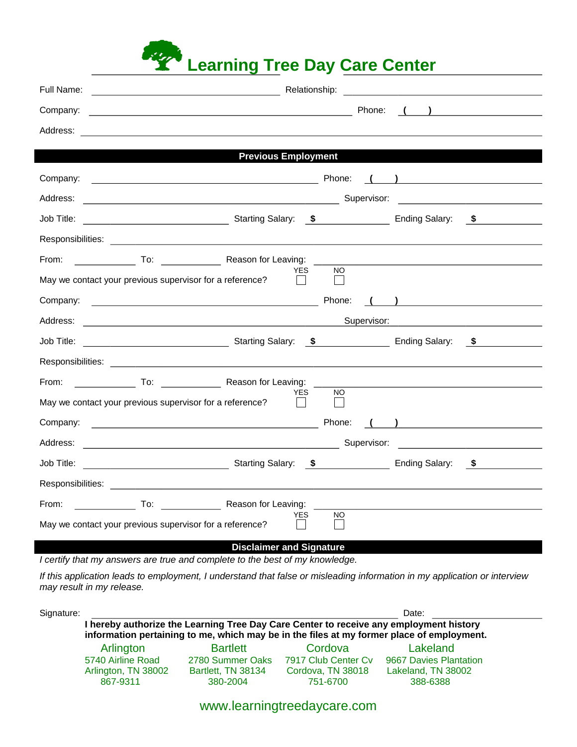

| Relationship:<br>Full Name:                                                                                                  |                                                                                      |
|------------------------------------------------------------------------------------------------------------------------------|--------------------------------------------------------------------------------------|
| Company:                                                                                                                     | Phone:<br>$\begin{pmatrix} 1 & 1 \end{pmatrix}$                                      |
| Address:<br>and the control of the control of the control of the control of the control of the control of the control of the |                                                                                      |
| <b>Previous Employment</b>                                                                                                   |                                                                                      |
| Company:<br><u> 1989 - Johann Barn, fransk politik (d. 1989)</u>                                                             | Phone:<br>$\left(\begin{array}{c} \begin{array}{c} \end{array}\\ \end{array}\right)$ |
|                                                                                                                              |                                                                                      |
|                                                                                                                              |                                                                                      |
|                                                                                                                              |                                                                                      |
| From:<br>To: To: Reason for Leaving:                                                                                         |                                                                                      |
| <b>YES</b><br>May we contact your previous supervisor for a reference?                                                       | NO                                                                                   |
| Company:<br><u> 1989 - Johann Barn, fransk politik fotograf (d. 1989)</u>                                                    | Phone:<br>$\left(\begin{array}{cc} 1 & 1 \end{array}\right)$                         |
|                                                                                                                              | Supervisor:                                                                          |
| Ending Salary: \$<br>Job Title:                                                                                              |                                                                                      |
|                                                                                                                              |                                                                                      |
|                                                                                                                              |                                                                                      |
| <b>YES</b><br>May we contact your previous supervisor for a reference?                                                       | NO.                                                                                  |
| Company:<br><u> 1989 - Johann Barn, fransk politik fotograf (d. 1989)</u>                                                    | Phone:<br>$\begin{pmatrix} 1 & 1 \\ 1 & 1 \end{pmatrix}$                             |
|                                                                                                                              |                                                                                      |
| Ending Salary: 5 Ending Salary: 5 Ending Salary: 5<br>Job Title:                                                             |                                                                                      |
|                                                                                                                              |                                                                                      |
| From:<br>To: Reason for Leaving:                                                                                             |                                                                                      |
| <b>YES</b><br>May we contact your previous supervisor for a reference?                                                       | <b>NO</b>                                                                            |

## **Disclaimer and Signature**

*I certify that my answers are true and complete to the best of my knowledge.* 

*If this application leads to employment, I understand that false or misleading information in my application or interview may result in my release.*

| Signature: | Date:<br>I hereby authorize the Learning Tree Day Care Center to receive any employment history<br>information pertaining to me, which may be in the files at my former place of employment. |                    |                     |                        |
|------------|----------------------------------------------------------------------------------------------------------------------------------------------------------------------------------------------|--------------------|---------------------|------------------------|
|            | Arlington                                                                                                                                                                                    | <b>Bartlett</b>    | Cordova             | Lakeland               |
|            | 5740 Airline Road                                                                                                                                                                            | 2780 Summer Oaks   | 7917 Club Center Cv | 9667 Davies Plantation |
|            | Arlington, TN 38002                                                                                                                                                                          | Bartlett, TN 38134 | Cordova, TN 38018   | Lakeland, TN 38002     |
|            | 867-9311                                                                                                                                                                                     | 380-2004           | 751-6700            | 388-6388               |

www.learningtreedaycare.com